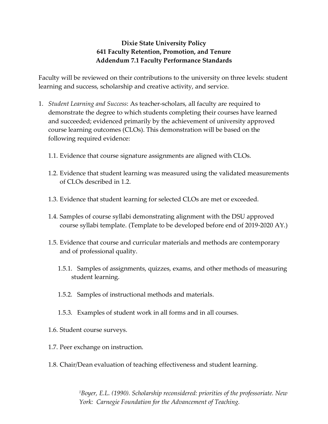## **Dixie State University Policy 641 Faculty Retention, Promotion, and Tenure Addendum 7.1 Faculty Performance Standards**

Faculty will be reviewed on their contributions to the university on three levels: student learning and success, scholarship and creative activity, and service.

- 1. *Student Learning and Success*: As teacher-scholars, all faculty are required to demonstrate the degree to which students completing their courses have learned and succeeded; evidenced primarily by the achievement of university approved course learning outcomes (CLOs). This demonstration will be based on the following required evidence:
	- 1.1. Evidence that course signature assignments are aligned with CLOs.
	- 1.2. Evidence that student learning was measured using the validated measurements of CLOs described in 1.2.
	- 1.3. Evidence that student learning for selected CLOs are met or exceeded.
	- 1.4. Samples of course syllabi demonstrating alignment with the DSU approved course syllabi template. (Template to be developed before end of 2019-2020 AY.)
	- 1.5. Evidence that course and curricular materials and methods are contemporary and of professional quality.
		- 1.5.1. Samples of assignments, quizzes, exams, and other methods of measuring student learning.
		- 1.5.2. Samples of instructional methods and materials.
		- 1.5.3. Examples of student work in all forms and in all courses.
	- 1.6. Student course surveys.
	- 1.7. Peer exchange on instruction.
	- 1.8. Chair/Dean evaluation of teaching effectiveness and student learning.

*<sup>1</sup>Boyer, E.L. (1990). Scholarship reconsidered: priorities of the professoriate. New York: Carnegie Foundation for the Advancement of Teaching.*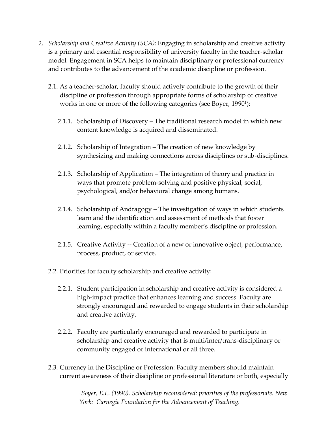- 2. *Scholarship and Creative Activity (SCA)*: Engaging in scholarship and creative activity is a primary and essential responsibility of university faculty in the teacher-scholar model. Engagement in SCA helps to maintain disciplinary or professional currency and contributes to the advancement of the academic discipline or profession.
	- 2.1. As a teacher-scholar, faculty should actively contribute to the growth of their discipline or profession through appropriate forms of scholarship or creative works in one or more of the following categories (see Boyer, 1990<sup>1</sup> ):
		- 2.1.1. Scholarship of Discovery The traditional research model in which new content knowledge is acquired and disseminated.
		- 2.1.2. Scholarship of Integration The creation of new knowledge by synthesizing and making connections across disciplines or sub-disciplines.
		- 2.1.3. Scholarship of Application The integration of theory and practice in ways that promote problem-solving and positive physical, social, psychological, and/or behavioral change among humans.
		- 2.1.4. Scholarship of Andragogy The investigation of ways in which students learn and the identification and assessment of methods that foster learning, especially within a faculty member's discipline or profession.
		- 2.1.5. Creative Activity -- Creation of a new or innovative object, performance, process, product, or service.
	- 2.2. Priorities for faculty scholarship and creative activity:
		- 2.2.1. Student participation in scholarship and creative activity is considered a high-impact practice that enhances learning and success. Faculty are strongly encouraged and rewarded to engage students in their scholarship and creative activity.
		- 2.2.2. Faculty are particularly encouraged and rewarded to participate in scholarship and creative activity that is multi/inter/trans-disciplinary or community engaged or international or all three.
	- 2.3. Currency in the Discipline or Profession: Faculty members should maintain current awareness of their discipline or professional literature or both, especially

*<sup>1</sup>Boyer, E.L. (1990). Scholarship reconsidered: priorities of the professoriate. New York: Carnegie Foundation for the Advancement of Teaching.*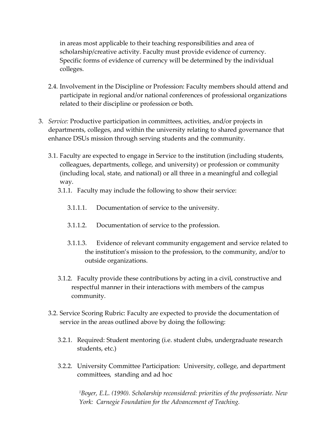in areas most applicable to their teaching responsibilities and area of scholarship/creative activity. Faculty must provide evidence of currency. Specific forms of evidence of currency will be determined by the individual colleges.

- 2.4. Involvement in the Discipline or Profession: Faculty members should attend and participate in regional and/or national conferences of professional organizations related to their discipline or profession or both.
- 3. *Service:* Productive participation in committees, activities, and/or projects in departments, colleges, and within the university relating to shared governance that enhance DSUs mission through serving students and the community.
	- 3.1. Faculty are expected to engage in Service to the institution (including students, colleagues, departments, college, and university) or profession or community (including local, state, and national) or all three in a meaningful and collegial way.
		- 3.1.1. Faculty may include the following to show their service:
			- 3.1.1.1. Documentation of service to the university.
			- 3.1.1.2. Documentation of service to the profession.
			- 3.1.1.3. Evidence of relevant community engagement and service related to the institution's mission to the profession, to the community, and/or to outside organizations.
		- 3.1.2. Faculty provide these contributions by acting in a civil, constructive and respectful manner in their interactions with members of the campus community.
	- 3.2. Service Scoring Rubric: Faculty are expected to provide the documentation of service in the areas outlined above by doing the following:
		- 3.2.1. Required: Student mentoring (i.e. student clubs, undergraduate research students, etc.)
		- 3.2.2. University Committee Participation: University, college, and department committees, standing and ad hoc

*<sup>1</sup>Boyer, E.L. (1990). Scholarship reconsidered: priorities of the professoriate. New York: Carnegie Foundation for the Advancement of Teaching.*